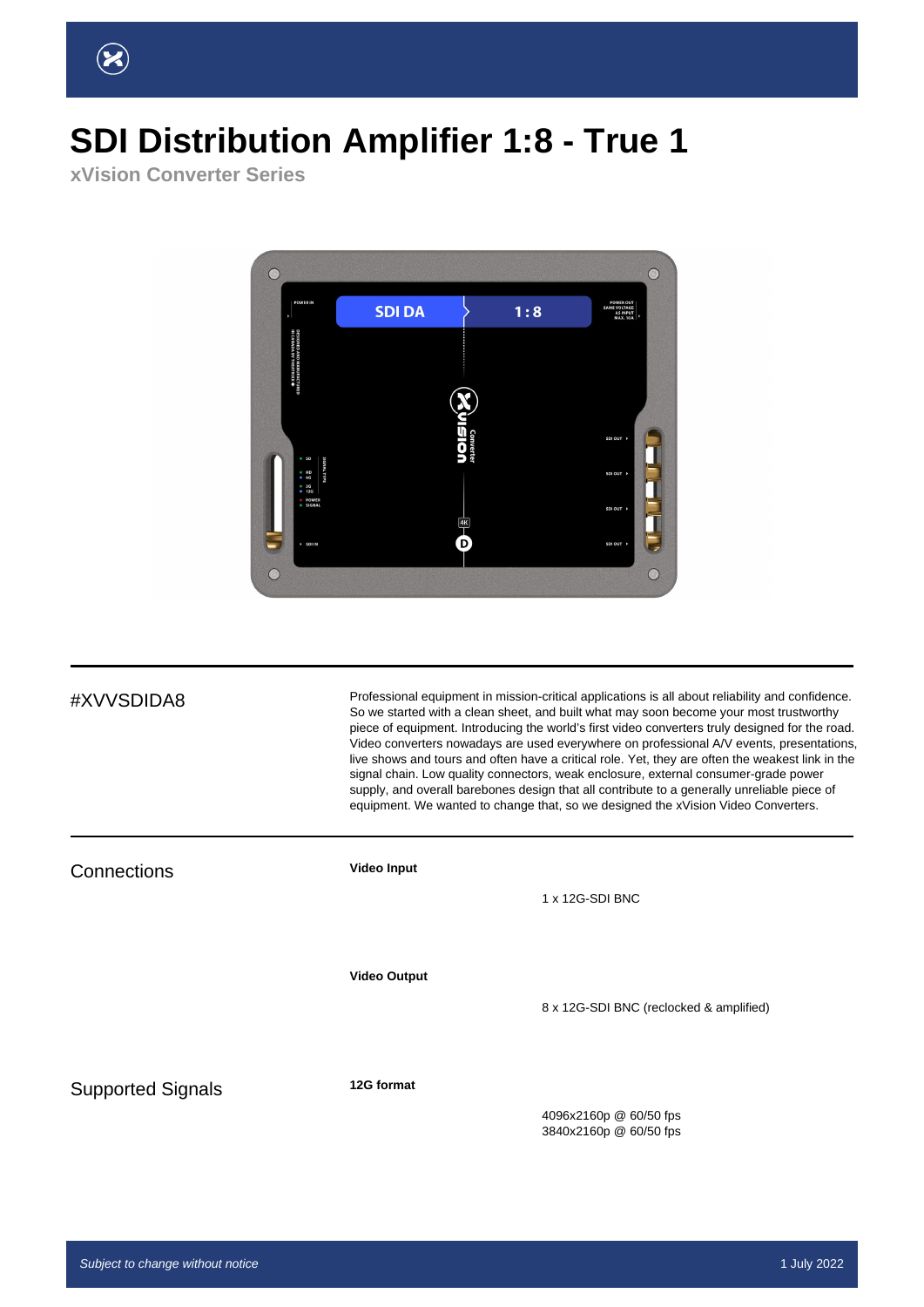## **SDI Distribution Amplifier 1:8 - True 1**

**xVision Converter Series**



#XVVSDIDA8 Professional equipment in mission-critical applications is all about reliability and confidence. So we started with a clean sheet, and built what may soon become your most trustworthy piece of equipment. Introducing the world's first video converters truly designed for the road. Video converters nowadays are used everywhere on professional A/V events, presentations, live shows and tours and often have a critical role. Yet, they are often the weakest link in the signal chain. Low quality connectors, weak enclosure, external consumer-grade power supply, and overall barebones design that all contribute to a generally unreliable piece of equipment. We wanted to change that, so we designed the xVision Video Converters.

Connections **Video Input** 1 x 12G-SDI BNC **Video Output** 8 x 12G-SDI BNC (reclocked & amplified) Supported Signals **12G format** 4096x2160p @ 60/50 fps 3840x2160p @ 60/50 fps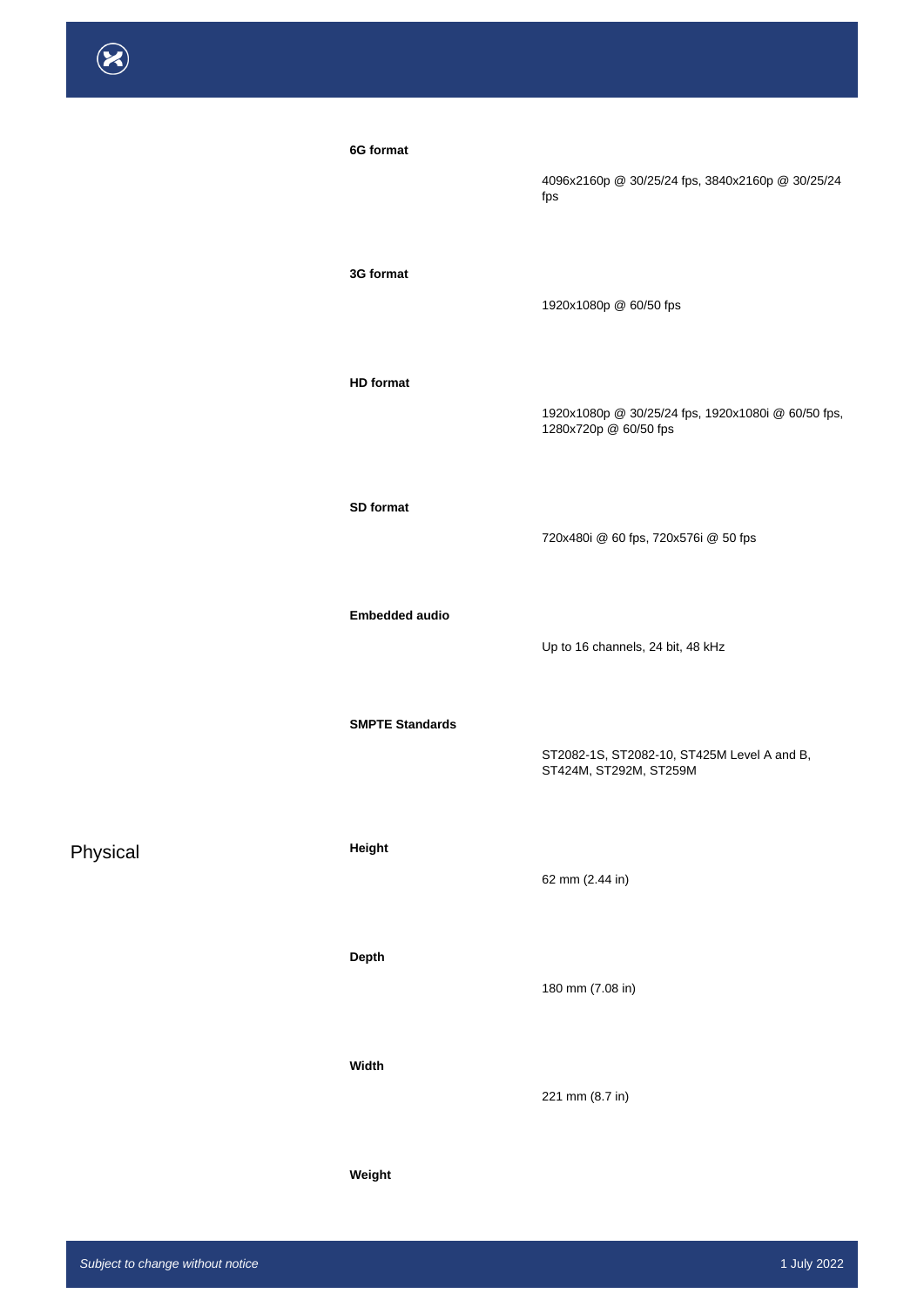| 6G format              | 4096x2160p @ 30/25/24 fps, 3840x2160p @ 30/25/24<br>fps                     |
|------------------------|-----------------------------------------------------------------------------|
| 3G format              | 1920x1080p @ 60/50 fps                                                      |
| <b>HD</b> format       | 1920x1080p @ 30/25/24 fps, 1920x1080i @ 60/50 fps,<br>1280x720p @ 60/50 fps |
| SD format              | 720x480i @ 60 fps, 720x576i @ 50 fps                                        |
| <b>Embedded audio</b>  | Up to 16 channels, 24 bit, 48 kHz                                           |
| <b>SMPTE Standards</b> | ST2082-1S, ST2082-10, ST425M Level A and B,<br>ST424M, ST292M, ST259M       |

## Physical **Height**

### **Depth**

### **Width**

**Weight**

## 62 mm (2.44 in)

180 mm (7.08 in)

221 mm (8.7 in)